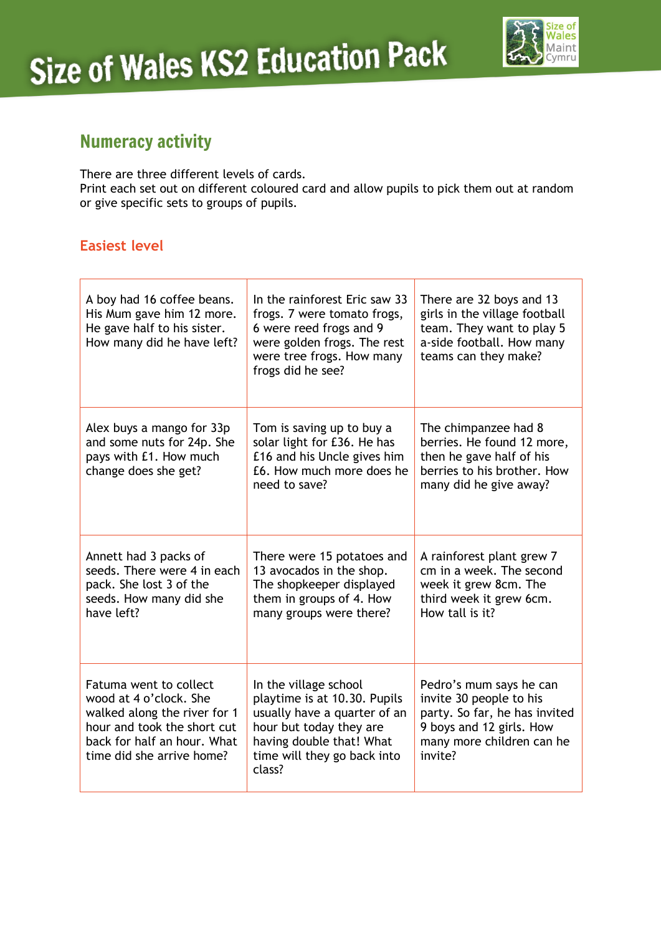

# Numeracy activity

There are three different levels of cards. Print each set out on different coloured card and allow pupils to pick them out at random or give specific sets to groups of pupils.

### **Easiest level**

| A boy had 16 coffee beans.<br>His Mum gave him 12 more.<br>He gave half to his sister.<br>How many did he have left?                                                        | In the rainforest Eric saw 33<br>frogs. 7 were tomato frogs,<br>6 were reed frogs and 9<br>were golden frogs. The rest<br>were tree frogs. How many<br>frogs did he see?              | There are 32 boys and 13<br>girls in the village football<br>team. They want to play 5<br>a-side football. How many<br>teams can they make?             |
|-----------------------------------------------------------------------------------------------------------------------------------------------------------------------------|---------------------------------------------------------------------------------------------------------------------------------------------------------------------------------------|---------------------------------------------------------------------------------------------------------------------------------------------------------|
| Alex buys a mango for 33p<br>and some nuts for 24p. She<br>pays with £1. How much<br>change does she get?                                                                   | Tom is saving up to buy a<br>solar light for £36. He has<br>£16 and his Uncle gives him<br>£6. How much more does he<br>need to save?                                                 | The chimpanzee had 8<br>berries. He found 12 more,<br>then he gave half of his<br>berries to his brother. How<br>many did he give away?                 |
| Annett had 3 packs of<br>seeds. There were 4 in each<br>pack. She lost 3 of the<br>seeds. How many did she<br>have left?                                                    | There were 15 potatoes and<br>13 avocados in the shop.<br>The shopkeeper displayed<br>them in groups of 4. How<br>many groups were there?                                             | A rainforest plant grew 7<br>cm in a week. The second<br>week it grew 8cm. The<br>third week it grew 6cm.<br>How tall is it?                            |
| Fatuma went to collect<br>wood at 4 o'clock. She<br>walked along the river for 1<br>hour and took the short cut<br>back for half an hour. What<br>time did she arrive home? | In the village school<br>playtime is at 10.30. Pupils<br>usually have a quarter of an<br>hour but today they are<br>having double that! What<br>time will they go back into<br>class? | Pedro's mum says he can<br>invite 30 people to his<br>party. So far, he has invited<br>9 boys and 12 girls. How<br>many more children can he<br>invite? |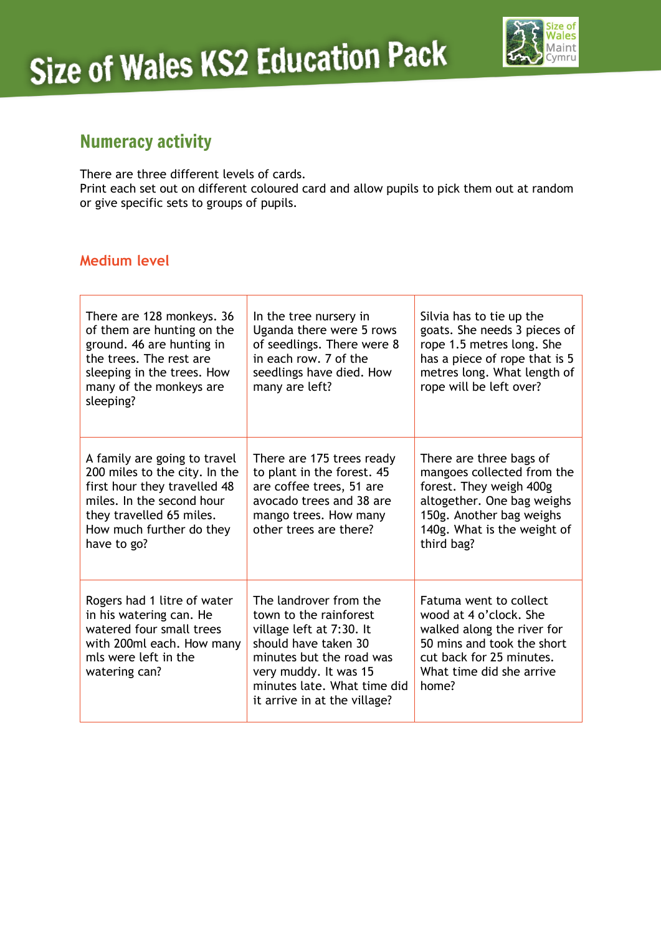

# Numeracy activity

There are three different levels of cards. Print each set out on different coloured card and allow pupils to pick them out at random or give specific sets to groups of pupils.

### **Medium level**

| There are 128 monkeys. 36<br>of them are hunting on the<br>ground. 46 are hunting in<br>the trees. The rest are<br>sleeping in the trees. How<br>many of the monkeys are<br>sleeping?             | In the tree nursery in<br>Uganda there were 5 rows<br>of seedlings. There were 8<br>in each row. 7 of the<br>seedlings have died. How<br>many are left?                                                                  | Silvia has to tie up the<br>goats. She needs 3 pieces of<br>rope 1.5 metres long. She<br>has a piece of rope that is 5<br>metres long. What length of<br>rope will be left over?        |
|---------------------------------------------------------------------------------------------------------------------------------------------------------------------------------------------------|--------------------------------------------------------------------------------------------------------------------------------------------------------------------------------------------------------------------------|-----------------------------------------------------------------------------------------------------------------------------------------------------------------------------------------|
| A family are going to travel<br>200 miles to the city. In the<br>first hour they travelled 48<br>miles. In the second hour<br>they travelled 65 miles.<br>How much further do they<br>have to go? | There are 175 trees ready<br>to plant in the forest. 45<br>are coffee trees, 51 are<br>avocado trees and 38 are<br>mango trees. How many<br>other trees are there?                                                       | There are three bags of<br>mangoes collected from the<br>forest. They weigh 400g<br>altogether. One bag weighs<br>150g. Another bag weighs<br>140g. What is the weight of<br>third bag? |
| Rogers had 1 litre of water<br>in his watering can. He<br>watered four small trees<br>with 200ml each. How many<br>mls were left in the<br>watering can?                                          | The landrover from the<br>town to the rainforest<br>village left at 7:30. It<br>should have taken 30<br>minutes but the road was<br>very muddy. It was 15<br>minutes late. What time did<br>it arrive in at the village? | Fatuma went to collect<br>wood at 4 o'clock. She<br>walked along the river for<br>50 mins and took the short<br>cut back for 25 minutes.<br>What time did she arrive<br>home?           |